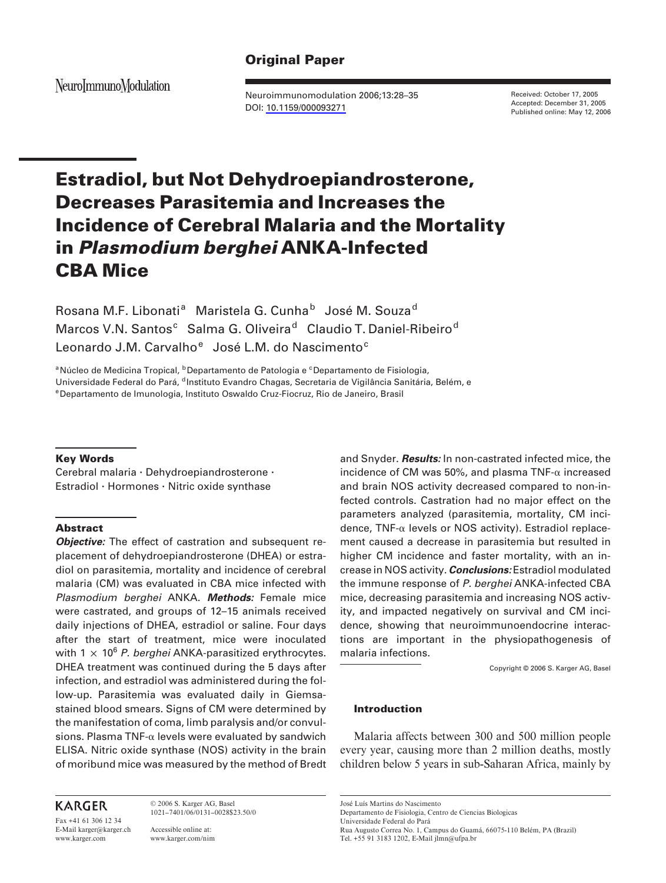# **Original Paper**

NeuroImmunoModulation

Neuroimmunomodulation 2006;13:28–35 DOI: [10.1159/000093271](http://dx.doi.org/10.1159%2F000093271)

Received: October 17, 2005 Accepted: December 31, 2005 Published online: May 12, 2006

# **Estradiol, but Not Dehydroepiandrosterone, Decreases Parasitemia and Increases the Incidence of Cerebral Malaria and the Mortality in** *Plasmodium berghei* **ANKA-Infected CBA Mice**

Rosana M.F. Libonati<sup>a</sup> Maristela G. Cunha<sup>b</sup> José M. Souza<sup>d</sup> Marcos V.N. Santos<sup>c</sup> Salma G. Oliveira<sup>d</sup> Claudio T. Daniel-Ribeiro<sup>d</sup> Leonardo J.M. Carvalho<sup>e</sup> José L.M. do Nascimento<sup>c</sup>

<sup>a</sup> Núcleo de Medicina Tropical, <sup>b</sup> Departamento de Patologia e <sup>c</sup> Departamento de Fisiologia, Universidade Federal do Pará, <sup>d</sup> Instituto Evandro Chagas, Secretaria de Vigilância Sanitária, Belém, e <sup>e</sup> Departamento de Imunologia, Instituto Oswaldo Cruz-Fiocruz, Rio de Janeiro, Brasil

## **Key Words**

Cerebral malaria · Dehydroepiandrosterone · Estradiol  $\cdot$  Hormones  $\cdot$  Nitric oxide synthase

# **Abstract**

*Objective:* The effect of castration and subsequent replacement of dehydroepiandrosterone (DHEA) or estradiol on parasitemia, mortality and incidence of cerebral malaria (CM) was evaluated in CBA mice infected with *Plasmodium berghei* ANKA. *Methods:* Female mice were castrated, and groups of 12–15 animals received daily injections of DHEA, estradiol or saline. Four days after the start of treatment, mice were inoculated with 1  $\times$  10<sup>6</sup> P. berghei ANKA-parasitized erythrocytes. DHEA treatment was continued during the 5 days after infection, and estradiol was administered during the follow-up. Parasitemia was evaluated daily in Giemsastained blood smears. Signs of CM were determined by the manifestation of coma, limb paralysis and/or convulsions. Plasma TNF- $\alpha$  levels were evaluated by sandwich ELISA. Nitric oxide synthase (NOS) activity in the brain of moribund mice was measured by the method of Bredt and Snyder. *Results:* In non-castrated infected mice, the incidence of CM was 50%, and plasma TNF- $\alpha$  increased and brain NOS activity decreased compared to non-infected controls. Castration had no major effect on the parameters analyzed (parasitemia, mortality, CM incidence,  $TNF-\alpha$  levels or NOS activity). Estradiol replacement caused a decrease in parasitemia but resulted in higher CM incidence and faster mortality, with an increase in NOS activity. *Conclusions:* Estradiol modulated the immune response of *P. berghei* ANKA-infected CBA mice, decreasing parasitemia and increasing NOS activity, and impacted negatively on survival and CM incidence, showing that neuroimmunoendocrine interactions are important in the physiopathogenesis of malaria infections.

Copyright © 2006 S. Karger AG, Basel

# **Introduction**

Malaria affects between 300 and 500 million people every year, causing more than 2 million deaths, mostly children below 5 years in sub-Saharan Africa, mainly by

Fax +41 61 306 12 34 E-Mail karger@karger.ch www.karger.com

© 2006 S. Karger AG, Basel 1021–7401/06/0131–0028\$23.50/0

Accessible online at: www.karger.com/nim José Luís Martins do Nascimento

Departamento de Fisiologia, Centro de Ciencias Biologicas Universidade Federal do Pará

Rua Augusto Correa No. 1, Campus do Guamá, 66075-110 Belém, PA (Brazil) Tel. +55 91 3183 1202, E-Mail jlmn@ufpa.br

**KARGER**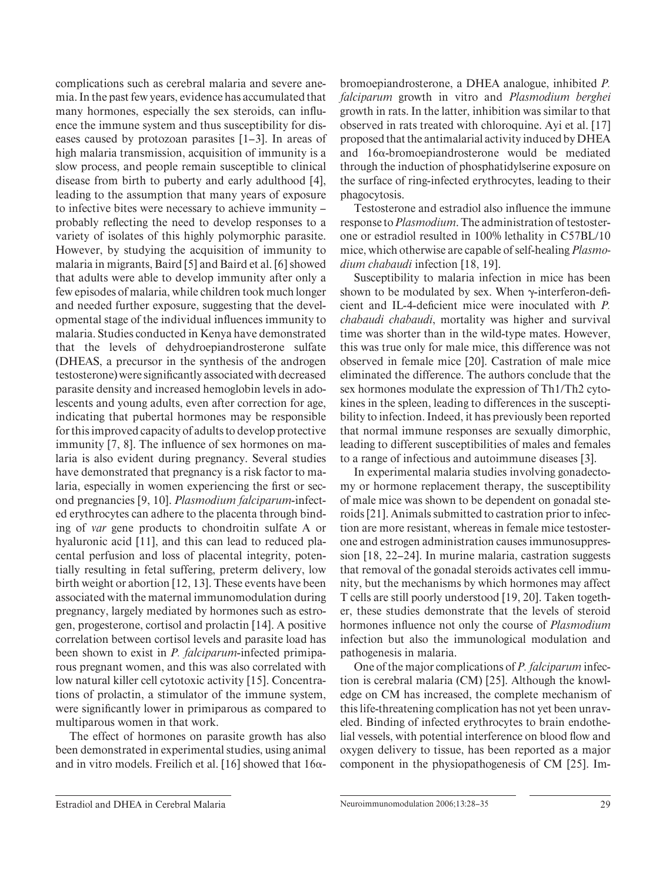complications such as cerebral malaria and severe anemia. In the past few years, evidence has accumulated that many hormones, especially the sex steroids, can influence the immune system and thus susceptibility for diseases caused by protozoan parasites  $[1-3]$ . In areas of high malaria transmission, acquisition of immunity is a slow process, and people remain susceptible to clinical disease from birth to puberty and early adulthood [4], leading to the assumption that many years of exposure to infective bites were necessary to achieve immunity – probably reflecting the need to develop responses to a variety of isolates of this highly polymorphic parasite. However, by studying the acquisition of immunity to malaria in migrants, Baird [5] and Baird et al. [6] showed that adults were able to develop immunity after only a few episodes of malaria, while children took much longer and needed further exposure, suggesting that the developmental stage of the individual influences immunity to malaria. Studies conducted in Kenya have demonstrated that the levels of dehydroepiandrosterone sulfate (DHEAS, a precursor in the synthesis of the androgen testosterone) were significantly associated with decreased parasite density and increased hemoglobin levels in adolescents and young adults, even after correction for age, indicating that pubertal hormones may be responsible for this improved capacity of adults to develop protective immunity  $[7, 8]$ . The influence of sex hormones on malaria is also evident during pregnancy. Several studies have demonstrated that pregnancy is a risk factor to malaria, especially in women experiencing the first or second pregnancies [9, 10] . *Plasmodium falciparum* -infected erythrocytes can adhere to the placenta through binding of *var* gene products to chondroitin sulfate A or hyaluronic acid [11], and this can lead to reduced placental perfusion and loss of placental integrity, potentially resulting in fetal suffering, preterm delivery, low birth weight or abortion [12, 13]. These events have been associated with the maternal immunomodulation during pregnancy, largely mediated by hormones such as estrogen, progesterone, cortisol and prolactin [14] . A positive correlation between cortisol levels and parasite load has been shown to exist in *P. falciparum*-infected primiparous pregnant women, and this was also correlated with low natural killer cell cytotoxic activity [15]. Concentrations of prolactin, a stimulator of the immune system, were significantly lower in primiparous as compared to multiparous women in that work.

The effect of hormones on parasite growth has also been demonstrated in experimental studies, using animal and in vitro models. Freilich et al. [16] showed that  $16\alpha$ -

bromoepiandrosterone, a DHEA analogue, inhibited *P. falciparum* growth in vitro and *Plasmodium berghei*  growth in rats. In the latter, inhibition was similar to that observed in rats treated with chloroquine. Ayi et al. [17] proposed that the antimalarial activity induced by DHEA and  $16\alpha$ -bromoepiandrosterone would be mediated through the induction of phosphatidylserine exposure on the surface of ring-infected erythrocytes, leading to their phagocytosis.

Testosterone and estradiol also influence the immune response to *Plasmodium* . The administration of testosterone or estradiol resulted in 100% lethality in C57BL/10 mice, which otherwise are capable of self-healing *Plasmodium chabaudi* infection [18, 19].

Susceptibility to malaria infection in mice has been shown to be modulated by sex. When  $\gamma$ -interferon-deficient and IL-4-deficient mice were inoculated with *P*. *chabaudi chabaudi* , mortality was higher and survival time was shorter than in the wild-type mates. However, this was true only for male mice, this difference was not observed in female mice [20]. Castration of male mice eliminated the difference. The authors conclude that the sex hormones modulate the expression of Th1/Th2 cytokines in the spleen, leading to differences in the susceptibility to infection. Indeed, it has previously been reported that normal immune responses are sexually dimorphic, leading to different susceptibilities of males and females to a range of infectious and autoimmune diseases [3] .

In experimental malaria studies involving gonadectomy or hormone replacement therapy, the susceptibility of male mice was shown to be dependent on gonadal steroids [21] . Animals submitted to castration prior to infection are more resistant, whereas in female mice testosterone and estrogen administration causes immunosuppression  $[18, 22-24]$ . In murine malaria, castration suggests that removal of the gonadal steroids activates cell immunity, but the mechanisms by which hormones may affect T cells are still poorly understood [19, 20]. Taken together, these studies demonstrate that the levels of steroid hormones influence not only the course of *Plasmodium* infection but also the immunological modulation and pathogenesis in malaria.

One of the major complications of *P. falciparum* infection is cerebral malaria (CM) [25]. Although the knowledge on CM has increased, the complete mechanism of this life-threatening complication has not yet been unraveled. Binding of infected erythrocytes to brain endothelial vessels, with potential interference on blood flow and oxygen delivery to tissue, has been reported as a major component in the physiopathogenesis of CM [25]. Im-

Estradiol and DHEA in Cerebral Malaria Neuroimmunomodulation 2006;13:28–35 29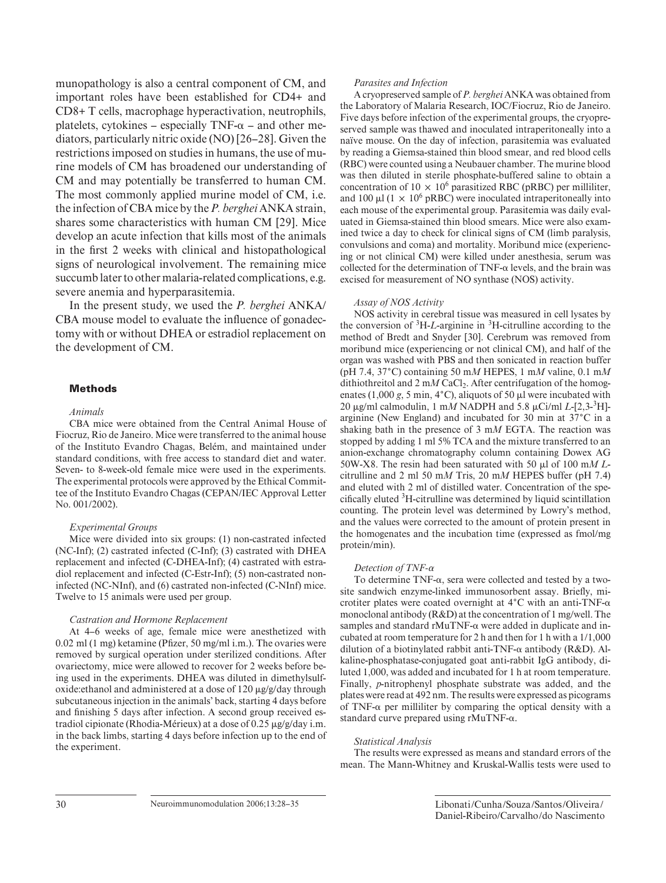munopathology is also a central component of CM, and important roles have been established for CD4+ and CD8+ T cells, macrophage hyperactivation, neutrophils, platelets, cytokines – especially  $TNF-\alpha$  – and other mediators, particularly nitric oxide (NO) [26–28] . Given the restrictions imposed on studies in humans, the use of murine models of CM has broadened our understanding of CM and may potentially be transferred to human CM. The most commonly applied murine model of CM, i.e. the infection of CBA mice by the *P. berghei* ANKA strain, shares some characteristics with human CM [29]. Mice develop an acute infection that kills most of the animals in the first 2 weeks with clinical and histopathological signs of neurological involvement. The remaining mice succumb later to other malaria-related complications, e.g. severe anemia and hyperparasitemia.

In the present study, we used the *P. berghei* ANKA/ CBA mouse model to evaluate the influence of gonadectomy with or without DHEA or estradiol replacement on the development of CM.

## **Methods**

#### *Animals*

CBA mice were obtained from the Central Animal House of Fiocruz, Rio de Janeiro. Mice were transferred to the animal house of the Instituto Evandro Chagas, Belém, and maintained under standard conditions, with free access to standard diet and water. Seven- to 8-week-old female mice were used in the experiments. The experimental protocols were approved by the Ethical Committee of the Instituto Evandro Chagas (CEPAN/IEC Approval Letter No. 001/2002).

#### *Experimental Groups*

Mice were divided into six groups: (1) non-castrated infected (NC-Inf); (2) castrated infected (C-Inf); (3) castrated with DHEA replacement and infected (C-DHEA-Inf); (4) castrated with estradiol replacement and infected (C-Estr-Inf); (5) non-castrated noninfected (NC-NInf), and (6) castrated non-infected (C-NInf) mice. Twelve to 15 animals were used per group.

#### *Castration and Hormone Replacement*

At 4–6 weeks of age, female mice were anesthetized with  $0.02$  ml  $(1 \text{ mg})$  ketamine (Pfizer, 50 mg/ml i.m.). The ovaries were removed by surgical operation under sterilized conditions. After ovariectomy, mice were allowed to recover for 2 weeks before being used in the experiments. DHEA was diluted in dimethylsulfoxide: ethanol and administered at a dose of  $120 \mu g/g/day$  through subcutaneous injection in the animals' back, starting 4 days before and finishing 5 days after infection. A second group received estradiol cipionate (Rhodia-Mérieux) at a dose of  $0.25 \mu$ g/g/day i.m. in the back limbs, starting 4 days before infection up to the end of the experiment.

#### *Parasites and Infection*

A cryopreserved sample of *P. berghei* ANKA was obtained from the Laboratory of Malaria Research, IOC/Fiocruz, Rio de Janeiro. Five days before infection of the experimental groups, the cryopreserved sample was thawed and inoculated intraperitoneally into a naïve mouse. On the day of infection, parasitemia was evaluated by reading a Giemsa-stained thin blood smear, and red blood cells (RBC) were counted using a Neubauer chamber. The murine blood was then diluted in sterile phosphate-buffered saline to obtain a concentration of  $10 \times 10^6$  parasitized RBC (pRBC) per milliliter, and 100  $\mu$ l (1  $\times$  10<sup>6</sup> pRBC) were inoculated intraperitoneally into each mouse of the experimental group. Parasitemia was daily evaluated in Giemsa-stained thin blood smears. Mice were also examined twice a day to check for clinical signs of CM (limb paralysis, convulsions and coma) and mortality. Moribund mice (experiencing or not clinical CM) were killed under anesthesia, serum was collected for the determination of  $TNF-\alpha$  levels, and the brain was excised for measurement of NO synthase (NOS) activity.

#### *Assay of NOS Activity*

NOS activity in cerebral tissue was measured in cell lysates by the conversion of  ${}^{3}H$ -*L*-arginine in  ${}^{3}H$ -citrulline according to the method of Bredt and Snyder [30]. Cerebrum was removed from moribund mice (experiencing or not clinical CM), and half of the organ was washed with PBS and then sonicated in reaction buffer (pH 7.4, 37 ° C) containing 50 m*M* HEPES, 1 m*M* valine, 0.1 m*M*  dithiothreitol and 2 mM CaCl<sub>2</sub>. After centrifugation of the homogenates  $(1,000 \text{ g}, 5 \text{ min}, 4^{\circ}\text{C})$ , aliquots of 50  $\mu$ l were incubated with 20  $\mu$ g/ml calmodulin, 1 m*M* NADPH and 5.8  $\mu$ Ci/ml *L*-[2,3-<sup>3</sup>H]arginine (New England) and incubated for 30 min at  $37^{\circ}$ C in a shaking bath in the presence of 3 m*M* EGTA. The reaction was stopped by adding 1 ml 5% TCA and the mixture transferred to an anion-exchange chromatography column containing Dowex AG 50W-X8. The resin had been saturated with 50  $\mu$ l of 100 m*M L*citrulline and 2 ml 50 m*M* Tris, 20 m*M* HEPES buffer (pH 7.4) and eluted with 2 ml of distilled water. Concentration of the specifically eluted  ${}^{3}$ H-citrulline was determined by liquid scintillation counting. The protein level was determined by Lowry's method, and the values were corrected to the amount of protein present in the homogenates and the incubation time (expressed as fmol/mg protein/min).

#### *Detection of TNF-*

To determine TNF- $\alpha$ , sera were collected and tested by a twosite sandwich enzyme-linked immunosorbent assay. Briefly, microtiter plates were coated overnight at  $4^{\circ}$ C with an anti-TNF- $\alpha$ monoclonal antibody (R&D) at the concentration of 1 mg/well. The samples and standard  $rMuTNF-\alpha$  were added in duplicate and incubated at room temperature for 2 h and then for 1 h with a 1/1,000 dilution of a biotinylated rabbit anti-TNF- $\alpha$  antibody (R&D). Alkaline-phosphatase-conjugated goat anti-rabbit IgG antibody, diluted 1,000, was added and incubated for 1 h at room temperature. Finally, *p*-nitrophenyl phosphate substrate was added, and the plates were read at 492 nm. The results were expressed as picograms of TNF- $\alpha$  per milliliter by comparing the optical density with a standard curve prepared using  $rMuTNF-\alpha$ .

#### *Statistical Analysis*

The results were expressed as means and standard errors of the mean. The Mann-Whitney and Kruskal-Wallis tests were used to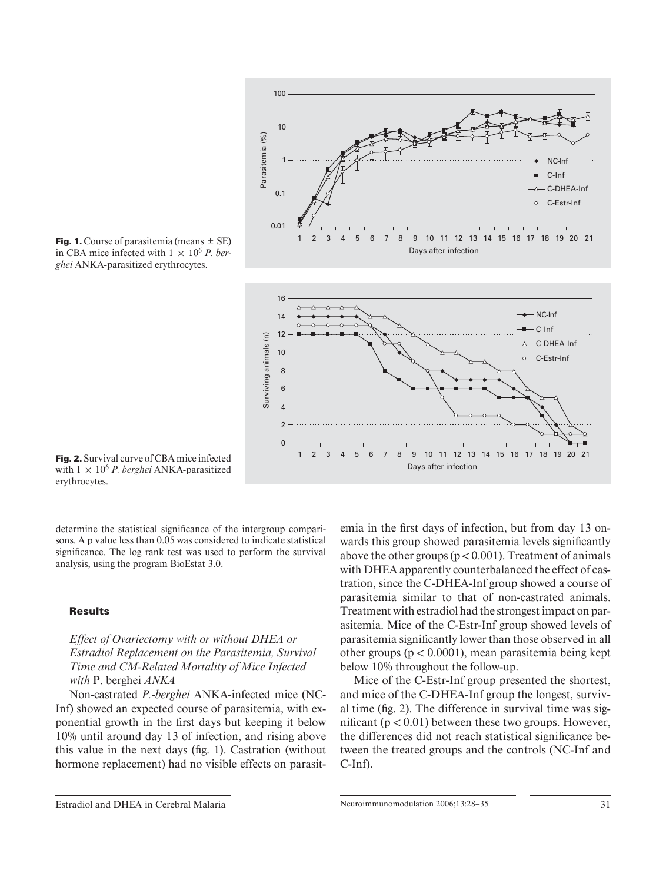

**Fig. 1.** Course of parasitemia (means  $\pm$  SE) in CBA mice infected with  $1 \times 10^6$  *P. berghei* ANKA-parasitized erythrocytes.

**Fig. 2.** Survival curve of CBA mice infected with  $1 \times 10^6$  *P. berghei* ANKA-parasitized erythrocytes.

determine the statistical significance of the intergroup comparisons. A p value less than 0.05 was considered to indicate statistical significance. The log rank test was used to perform the survival analysis, using the program BioEstat 3.0.

## **Results**

*Effect of Ovariectomy with or without DHEA or Estradiol Replacement on the Parasitemia, Survival Time and CM-Related Mortality of Mice Infected with* P. berghei *ANKA* 

Non-castrated *P.-berghei* ANKA-infected mice (NC-Inf) showed an expected course of parasitemia, with exponential growth in the first days but keeping it below 10% until around day 13 of infection, and rising above this value in the next days (fig. 1). Castration (without hormone replacement) had no visible effects on parasitemia in the first days of infection, but from day 13 onwards this group showed parasitemia levels significantly above the other groups ( $p < 0.001$ ). Treatment of animals with DHEA apparently counterbalanced the effect of castration, since the C-DHEA-Inf group showed a course of parasitemia similar to that of non-castrated animals. Treatment with estradiol had the strongest impact on parasitemia. Mice of the C-Estr-Inf group showed levels of parasitemia significantly lower than those observed in all other groups ( $p < 0.0001$ ), mean parasitemia being kept below 10% throughout the follow-up.

Mice of the C-Estr-Inf group presented the shortest, and mice of the C-DHEA-Inf group the longest, survival time ( $fig. 2$ ). The difference in survival time was significant ( $p < 0.01$ ) between these two groups. However, the differences did not reach statistical significance between the treated groups and the controls (NC-Inf and C-Inf).

Estradiol and DHEA in Cerebral Malaria Neuroimmunomodulation 2006;13:28–35 31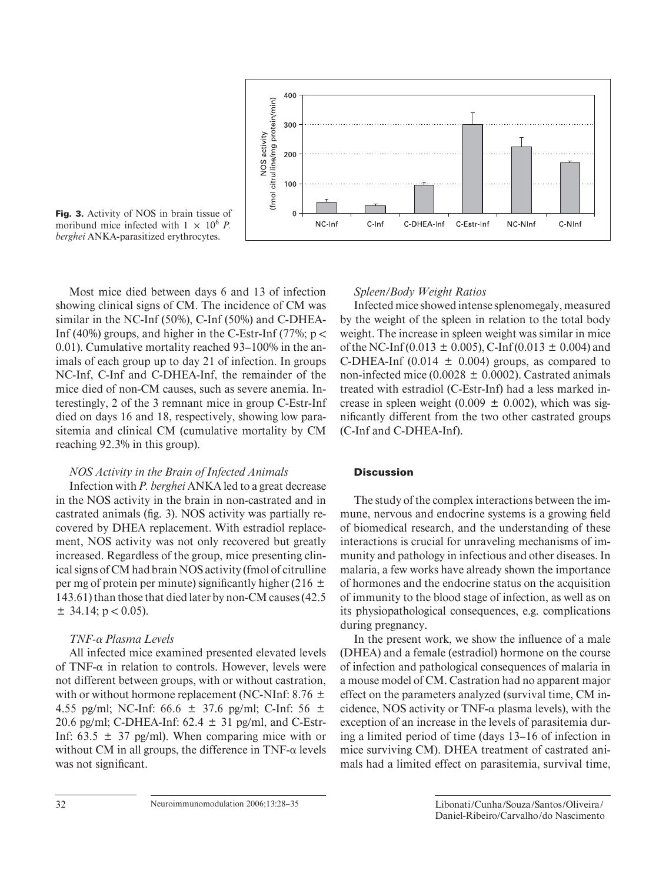

**Fig. 3.** Activity of NOS in brain tissue of moribund mice infected with  $1 \times 10^6$  *P*. *berghei* ANKA-parasitized erythrocytes.

Most mice died between days 6 and 13 of infection showing clinical signs of CM. The incidence of CM was similar in the NC-Inf (50%), C-Inf (50%) and C-DHEA-Inf (40%) groups, and higher in the C-Estr-Inf (77%;  $p <$ 0.01). Cumulative mortality reached 93–100% in the animals of each group up to day 21 of infection. In groups NC-Inf, C-Inf and C-DHEA-Inf, the remainder of the mice died of non-CM causes, such as severe anemia. Interestingly, 2 of the 3 remnant mice in group C-Estr-Inf died on days 16 and 18, respectively, showing low parasitemia and clinical CM (cumulative mortality by CM reaching 92.3% in this group).

# *NOS Activity in the Brain of Infected Animals*

Infection with *P. berghei* ANKA led to a great decrease in the NOS activity in the brain in non-castrated and in castrated animals (fig. 3). NOS activity was partially recovered by DHEA replacement. With estradiol replacement, NOS activity was not only recovered but greatly increased. Regardless of the group, mice presenting clinical signs of CM had brain NOS activity (fmol of citrulline per mg of protein per minute) significantly higher (216  $\pm$ 143.61) than those that died later by non-CM causes (42.5  $\pm$  34.14; p < 0.05).

# *TNF-αPlasma Levels*

All infected mice examined presented elevated levels of TNF- $\alpha$  in relation to controls. However, levels were not different between groups, with or without castration, with or without hormone replacement (NC-NInf: 8.76  $\pm$ 4.55 pg/ml; NC-Inf: 66.6  $\pm$  37.6 pg/ml; C-Inf: 56  $\pm$ 20.6 pg/ml; C-DHEA-Inf:  $62.4 \pm 31$  pg/ml, and C-Estr-Inf:  $63.5 \pm 37$  pg/ml). When comparing mice with or without CM in all groups, the difference in  $TNF-\alpha$  levels was not significant.

# *Spleen/Body Weight Ratios*

Infected mice showed intense splenomegaly, measured by the weight of the spleen in relation to the total body weight. The increase in spleen weight was similar in mice of the NC-Inf (0.013  $\pm$  0.005), C-Inf (0.013  $\pm$  0.004) and C-DHEA-Inf  $(0.014 \pm 0.004)$  groups, as compared to non-infected mice (0.0028  $\pm$  0.0002). Castrated animals treated with estradiol (C-Estr-Inf) had a less marked increase in spleen weight (0.009  $\pm$  0.002), which was significantly different from the two other castrated groups (C-Inf and C-DHEA-Inf).

# **Discussion**

The study of the complex interactions between the immune, nervous and endocrine systems is a growing field of biomedical research, and the understanding of these interactions is crucial for unraveling mechanisms of immunity and pathology in infectious and other diseases. In malaria, a few works have already shown the importance of hormones and the endocrine status on the acquisition of immunity to the blood stage of infection, as well as on its physiopathological consequences, e.g. complications during pregnancy.

In the present work, we show the influence of a male (DHEA) and a female (estradiol) hormone on the course of infection and pathological consequences of malaria in a mouse model of CM. Castration had no apparent major effect on the parameters analyzed (survival time, CM incidence, NOS activity or  $TNF-\alpha$  plasma levels), with the exception of an increase in the levels of parasitemia during a limited period of time (days 13–16 of infection in mice surviving CM). DHEA treatment of castrated animals had a limited effect on parasitemia, survival time,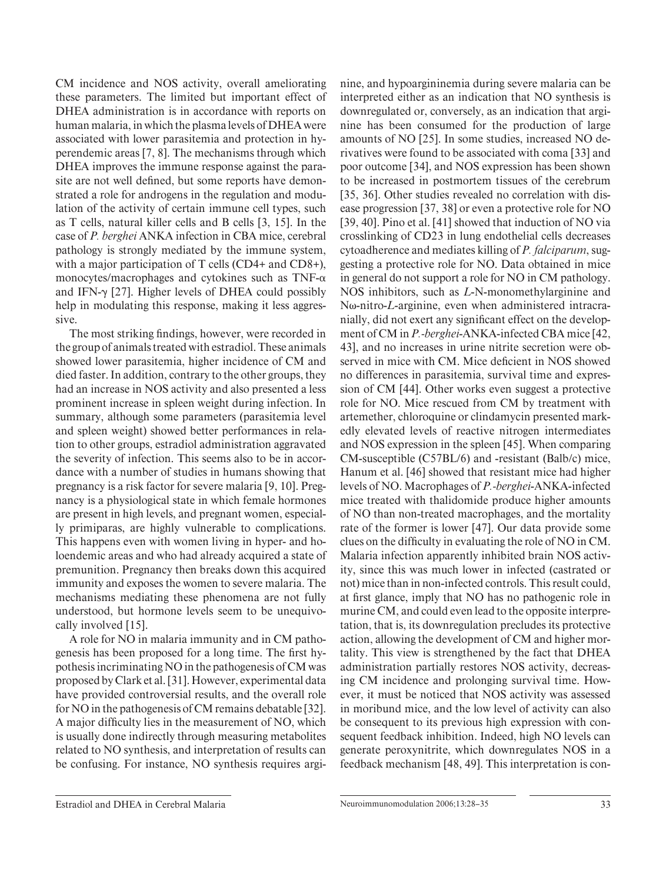DHEA improves the immune response against the parasite are not well defined, but some reports have demonstrated a role for androgens in the regulation and modulation of the activity of certain immune cell types, such as T cells, natural killer cells and B cells [3, 15]. In the case of *P. berghei* ANKA infection in CBA mice, cerebral pathology is strongly mediated by the immune system, with a major participation of T cells (CD4+ and CD8+), monocytes/macrophages and cytokines such as  $TNF-\alpha$ and IFN- $\gamma$  [27]. Higher levels of DHEA could possibly help in modulating this response, making it less aggressive. The most striking findings, however, were recorded in the group of animals treated with estradiol. These animals

CM incidence and NOS activity, overall ameliorating these parameters. The limited but important effect of DHEA administration is in accordance with reports on human malaria, in which the plasma levels of DHEA were associated with lower parasitemia and protection in hyperendemic areas [7, 8]. The mechanisms through which

showed lower parasitemia, higher incidence of CM and died faster. In addition, contrary to the other groups, they had an increase in NOS activity and also presented a less prominent increase in spleen weight during infection. In summary, although some parameters (parasitemia level and spleen weight) showed better performances in relation to other groups, estradiol administration aggravated the severity of infection. This seems also to be in accordance with a number of studies in humans showing that pregnancy is a risk factor for severe malaria [9, 10]. Pregnancy is a physiological state in which female hormones are present in high levels, and pregnant women, especially primiparas, are highly vulnerable to complications. This happens even with women living in hyper- and holoendemic areas and who had already acquired a state of premunition. Pregnancy then breaks down this acquired immunity and exposes the women to severe malaria. The mechanisms mediating these phenomena are not fully understood, but hormone levels seem to be unequivocally involved [15].

A role for NO in malaria immunity and in CM pathogenesis has been proposed for a long time. The first hypothesis incriminating NO in the pathogenesis of CM was proposed by Clark et al. [31] . However, experimental data have provided controversial results, and the overall role for NO in the pathogenesis of CM remains debatable [32] . A major difficulty lies in the measurement of NO, which is usually done indirectly through measuring metabolites related to NO synthesis, and interpretation of results can be confusing. For instance, NO synthesis requires arginine, and hypoargininemia during severe malaria can be interpreted either as an indication that NO synthesis is downregulated or, conversely, as an indication that arginine has been consumed for the production of large amounts of NO [25]. In some studies, increased NO derivatives were found to be associated with coma [33] and poor outcome [34] , and NOS expression has been shown to be increased in postmortem tissues of the cerebrum [35, 36]. Other studies revealed no correlation with disease progression [37, 38] or even a protective role for NO [39, 40]. Pino et al. [41] showed that induction of NO via crosslinking of CD23 in lung endothelial cells decreases cytoadherence and mediates killing of *P. falciparum* , suggesting a protective role for NO. Data obtained in mice in general do not support a role for NO in CM pathology. NOS inhibitors, such as *L* -N-monomethylarginine and Nω-nitro-*L*-arginine, even when administered intracranially, did not exert any significant effect on the development of CM in *P.-berghei*-ANKA-infected CBA mice [42, 43], and no increases in urine nitrite secretion were observed in mice with CM. Mice deficient in NOS showed no differences in parasitemia, survival time and expression of CM [44]. Other works even suggest a protective role for NO. Mice rescued from CM by treatment with artemether, chloroquine or clindamycin presented markedly elevated levels of reactive nitrogen intermediates and NOS expression in the spleen [45] . When comparing CM-susceptible (C57BL/6) and -resistant (Balb/c) mice, Hanum et al. [46] showed that resistant mice had higher levels of NO. Macrophages of *P.-berghei* -ANKA-infected mice treated with thalidomide produce higher amounts of NO than non-treated macrophages, and the mortality rate of the former is lower [47]. Our data provide some clues on the difficulty in evaluating the role of NO in CM. Malaria infection apparently inhibited brain NOS activity, since this was much lower in infected (castrated or not) mice than in non-infected controls. This result could, at first glance, imply that NO has no pathogenic role in murine CM, and could even lead to the opposite interpretation, that is, its downregulation precludes its protective action, allowing the development of CM and higher mortality. This view is strengthened by the fact that DHEA administration partially restores NOS activity, decreasing CM incidence and prolonging survival time. However, it must be noticed that NOS activity was assessed in moribund mice, and the low level of activity can also be consequent to its previous high expression with consequent feedback inhibition. Indeed, high NO levels can generate peroxynitrite, which downregulates NOS in a feedback mechanism [48, 49]. This interpretation is con-

Estradiol and DHEA in Cerebral Malaria Neuroimmunomodulation 2006;13:28–35 33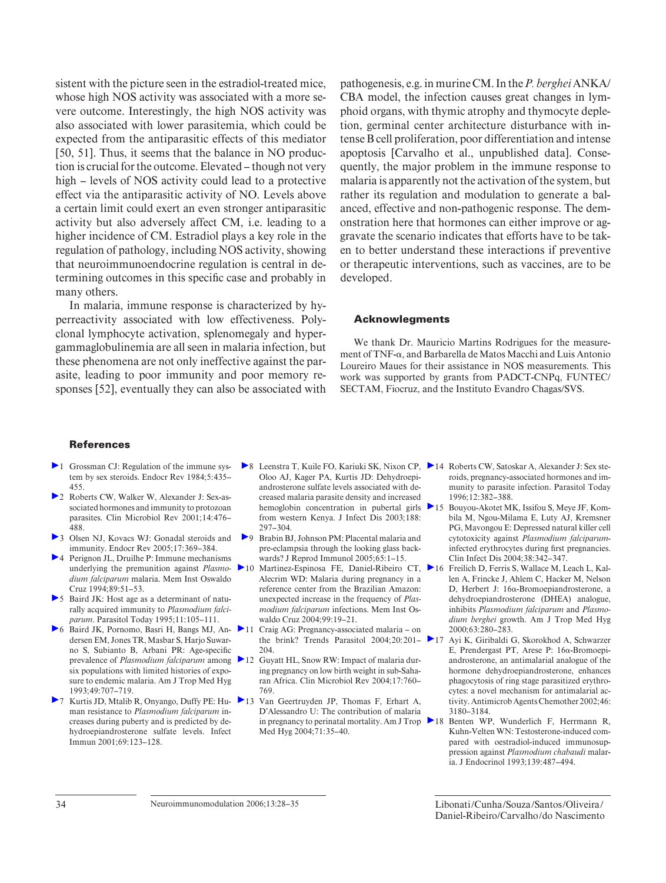sistent with the picture seen in the estradiol-treated mice, whose high NOS activity was associated with a more severe outcome. Interestingly, the high NOS activity was also associated with lower parasitemia, which could be expected from the antiparasitic effects of this mediator [50, 51]. Thus, it seems that the balance in NO production is crucial for the outcome. Elevated – though not very high – levels of NOS activity could lead to a protective effect via the antiparasitic activity of NO. Levels above a certain limit could exert an even stronger antiparasitic activity but also adversely affect CM, i.e. leading to a higher incidence of CM. Estradiol plays a key role in the regulation of pathology, including NOS activity, showing that neuroimmunoendocrine regulation is central in determining outcomes in this specific case and probably in many others.

In malaria, immune response is characterized by hyperreactivity associated with low effectiveness. Polyclonal lymphocyte activation, splenomegaly and hypergammaglobulinemia are all seen in malaria infection, but these phenomena are not only ineffective against the parasite, leading to poor immunity and poor memory responses [52], eventually they can also be associated with pathogenesis, e.g. in murine CM. In the *P. berghei* ANKA/ CBA model, the infection causes great changes in lymphoid organs, with thymic atrophy and thymocyte depletion, germinal center architecture disturbance with intense B cell proliferation, poor differentiation and intense apoptosis [Carvalho et al., unpublished data]. Consequently, the major problem in the immune response to malaria is apparently not the activation of the system, but rather its regulation and modulation to generate a balanced, effective and non-pathogenic response. The demonstration here that hormones can either improve or aggravate the scenario indicates that efforts have to be taken to better understand these interactions if preventive or therapeutic interventions, such as vaccines, are to be developed.

# **Acknowlegments**

We thank Dr. Mauricio Martins Rodrigues for the measurement of TNF- $\alpha$ , and Barbarella de Matos Macchi and Luis Antonio Loureiro Maues for their assistance in NOS measurements. This work was supported by grants from PADCT-CNPq, FUNTEC/ SECTAM, Fiocruz, and the Instituto Evandro Chagas/SVS.

#### **References**

- 1 Grossman CJ: Regulation of the immune system by sex steroids. Endocr Rev 1984;5:435-455.
- 2 Roberts CW, Walker W, Alexander J: Sex-associated hormones and immunity to protozoan parasites. Clin Microbiol Rev 2001;14:476-488.
- 3 Olsen NJ, Kovacs WJ: Gonadal steroids and immunity. Endocr Rev 2005; 17: 369–384.
- 4 Perignon JL, Druilhe P: Immune mechanisms *dium falciparum* malaria. Mem Inst Oswaldo Cruz 1994; 89: 51-53.
- 5 Baird JK: Host age as a determinant of naturally acquired immunity to *Plasmodium falciparum* . Parasitol Today 1995; 11: 105–111.
- dersen EM, Jones TR, Masbar S, Harjo Suwarno S, Subianto B, Arbani PR: Age-specific prevalence of *Plasmodium falciparum* among six populations with limited histories of exposure to endemic malaria. Am J Trop Med Hyg 1993; 49: 707–719.
- ▶ 7 Kurtis JD, Mtalib R, Onyango, Duffy PE: Hu- ▶ 13 man resistance to *Plasmodium falciparum* increases during puberty and is predicted by dehydroepiandrosterone sulfate levels. Infect Immun 2001; 69: 123–128.
- 8 Leenstra T, Kuile FO, Kariuki SK, Nixon CP, 14 Roberts CW, Satoskar A, Alexander J: Sex ste-Oloo AJ, Kager PA, Kurtis JD: Dehydroepiandrosterone sulfate levels associated with decreased malaria parasite density and increased from western Kenya. J Infect Dis 2003; 188: 297–304.
- 9 Brabin BJ, Johnson PM: Placental malaria and pre-eclampsia through the looking glass backwards? J Reprod Immunol 2005; 65: 1–15.
- underlying the premunition against *Plasmo-*10 Martinez-Espinosa FE, Daniel-Ribeiro CT, Alecrim WD: Malaria during pregnancy in a reference center from the Brazilian Amazon: unexpected increase in the frequency of *Plasmodium falciparum* infections. Mem Inst Oswaldo Cruz 2004; 99: 19–21.
- 6 Baird JK, Pornomo, Basri H, Bangs MJ, An-11 Craig AG: Pregnancy-associated malaria on the brink? Trends Parasitol 2004;20:201-204.
	- 12 Guyatt HL, Snow RW: Impact of malaria during pregnancy on low birth weight in sub-Saharan Africa. Clin Microbiol Rev 2004:17:760-769.
		- Van Geertruyden JP, Thomas F, Erhart A, D'Alessandro U: The contribution of malaria Med Hyg 2004;71:35-40.
- roids, pregnancy-associated hormones and immunity to parasite infection. Parasitol Today 1996; 12: 382–388.
- hemoglobin concentration in pubertal girls **>** 15 Bouyou-Akotet MK, Issifou S, Meye JF, Kombila M, Ngou-Milama E, Luty AJ, Kremsner PG, Mavongou E: Depressed natural killer cell cytotoxicity against *Plasmodium falciparum*  infected erythrocytes during first pregnancies. Clin Infect Dis 2004; 38: 342–347.
	- 16 Freilich D, Ferris S, Wallace M, Leach L, Kallen A, Frincke J, Ahlem C, Hacker M, Nelson D, Herbert J: 16α-Bromoepiandrosterone, a dehydroepiandrosterone (DHEA) analogue, inhibits *Plasmodium falciparum* and *Plasmodium berghei* growth. Am J Trop Med Hyg 2000; 63: 280–283.
	- 17 Ayi K, Giribaldi G, Skorokhod A, Schwarzer E, Prendergast PT, Arese P:  $16\alpha$ -Bromoepiandrosterone, an antimalarial analogue of the hormone dehydroepiandrosterone, enhances phagocytosis of ring stage parasitized erythrocytes: a novel mechanism for antimalarial activity. Antimicrob Agents Chemother 2002; 46: 3180–3184.
- in pregnancy to perinatal mortality. Am J Trop 18 Benten WP, Wunderlich F, Herrmann R, Kuhn-Velten WN: Testosterone-induced compared with oestradiol-induced immunosuppression against *Plasmodium chabaudi* malaria. J Endocrinol 1993; 139: 487–494.